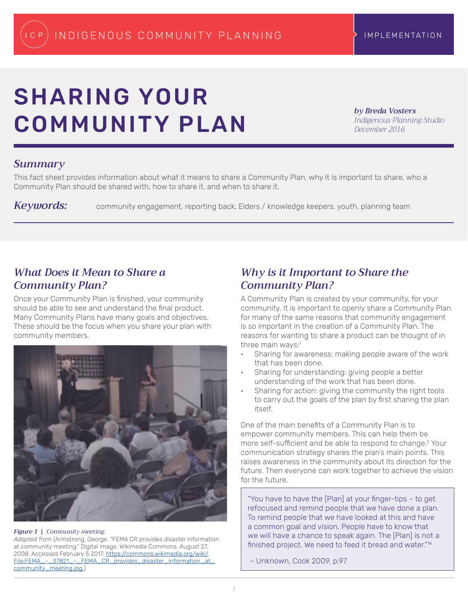# SHARING YOUR COMMUNITY PLAN

*by Breda Vosters Indigenous Planning Studio December 2016*

### *Summary*

This fact sheet provides information about what it means to share a Community Plan, why it is important to share, who a Community Plan should be shared with, how to share it, and when to share it.

Keywords: community engagement, reporting back, Elders / knowledge keepers, youth, planning team

## *What Does it Mean to Share a Community Plan?*

Once your Community Plan is finished, your community should be able to see and understand the final product. Many Community Plans have many goals and objectives. These should be the focus when you share your plan with community members.



### *Figure 1 | Community meeting.*

*Adapted from* (Armstrong, George. "FEMA CR provides disaster information at community meeting." Digital image. Wikimedia Commons. August 27, 2008. Accessed February 5 2017. [https://commons.wikimedia.org/wiki/](https://commons.wikimedia.org/wiki/File:FEMA_-_37821_-_FEMA_CR_provides_disaster_information_at_community_meeting.jpg.) [File:FEMA\\_-\\_37821\\_-\\_FEMA\\_CR\\_provides\\_disaster\\_information\\_at\\_](https://commons.wikimedia.org/wiki/File:FEMA_-_37821_-_FEMA_CR_provides_disaster_information_at_community_meeting.jpg.) [community\\_meeting.jpg.\)](https://commons.wikimedia.org/wiki/File:FEMA_-_37821_-_FEMA_CR_provides_disaster_information_at_community_meeting.jpg.)

# *Why is it Important to Share the Community Plan?*

A Community Plan is created by your community, for your community. It is important to openly share a Community Plan for many of the same reasons that community engagement is so important in the creation of a Community Plan. The reasons for wanting to share a product can be thought of in three main ways:<sup>1</sup>

- Sharing for awareness: making people aware of the work that has been done.
- Sharing for understanding: giving people a better understanding of the work that has been done.
- Sharing for action: giving the community the right tools to carry out the goals of the plan by first sharing the plan itself.

One of the main benefits of a Community Plan is to empower community members. This can help them be more self-sufficient and be able to respond to change.<sup>2</sup> Your communication strategy shares the plan's main points. This raises awareness in the community about its direction for the future. Then everyone can work together to achieve the vision for the future.

"You have to have the [Plan] at your finger-tips – to get refocused and remind people that we have done a plan. To remind people that we have looked at this and have a common goal and vision. People have to know that we will have a chance to speak again. The [Plan] is not a finished project. We need to feed it bread and water."<sup>14</sup>

– Unknown, Cook 2009, p.97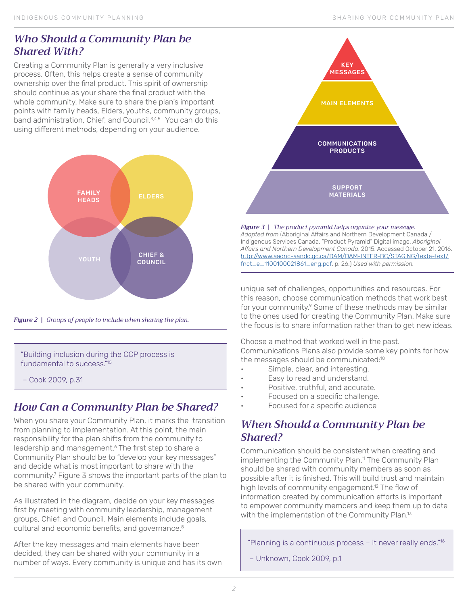# *Who Should a Community Plan be Shared With?*

Creating a Community Plan is generally a very inclusive process. Often, this helps create a sense of community ownership over the final product. This spirit of ownership should continue as your share the final product with the whole community. Make sure to share the plan's important points with family heads, Elders, youths, community groups, band administration, Chief, and Council.<sup>3,4,5</sup> You can do this using different methods, depending on your audience.



*Figure 2 | Groups of people to include when sharing the plan.* 

"Building inclusion during the CCP process is fundamental to success."15

– Cook 2009, p.31

# *How Can a Community Plan be Shared?*

When you share your Community Plan, it marks the transition from planning to implementation. At this point, the main responsibility for the plan shifts from the community to leadership and management.<sup>6</sup> The first step to share a Community Plan should be to "develop your key messages" and decide what is most important to share with the community.<sup>7</sup> Figure 3 shows the important parts of the plan to be shared with your community.

As illustrated in the diagram, decide on your key messages first by meeting with community leadership, management groups, Chief, and Council. Main elements include goals, cultural and economic benefits, and governance.<sup>8</sup>

After the key messages and main elements have been decided, they can be shared with your community in a number of ways. Every community is unique and has its own



*Figure 3 | The product pyramid helps organize your message. Adapted from* (Aboriginal Affairs and Northern Development Canada / Indigenous Services Canada. "Product Pyramid" Digital image. *Aboriginal Affairs and Northern Development Canada*. 2015. Accessed October 21, 2016. http://www.aadnc-aandc.gc.ca/DAM/DAM-INTER-BC/STAGING/texte-text/ fnct\_e\_1100100021861\_eng.pdf. p. 26.) *Used with permission.*

unique set of challenges, opportunities and resources. For this reason, choose communication methods that work best for your community.<sup>9</sup> Some of these methods may be similar to the ones used for creating the Community Plan. Make sure the focus is to share information rather than to get new ideas.

Choose a method that worked well in the past. Communications Plans also provide some key points for how the messages should be communicated:<sup>10</sup>

- Simple, clear, and interesting.
- Easy to read and understand.
- Positive, truthful, and accurate.
- Focused on a specific challenge.
- Focused for a specific audience

# *When Should a Community Plan be Shared?*

Communication should be consistent when creating and implementing the Community Plan.<sup>11</sup> The Community Plan should be shared with community members as soon as possible after it is finished. This will build trust and maintain high levels of community engagement.<sup>12</sup> The flow of information created by communication efforts is important to empower community members and keep them up to date with the implementation of the Community Plan.<sup>13</sup>

"Planning is a continuous process – it never really ends."16

– Unknown, Cook 2009, p.1